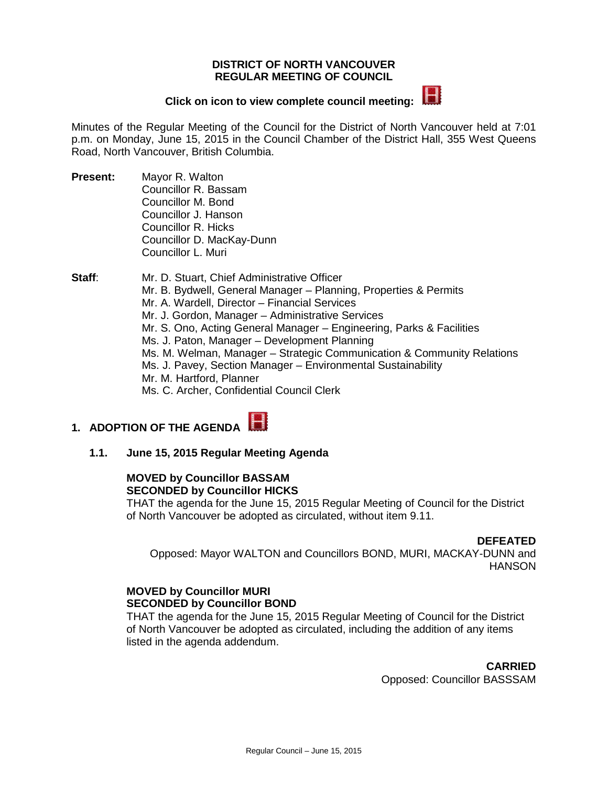#### **DISTRICT OF NORTH VANCOUVER REGULAR MEETING OF COUNCIL**

# **Click on icon to view complete council meeting:**



Minutes of the Regular Meeting of the Council for the District of North Vancouver held at 7:01 p.m. on Monday, June 15, 2015 in the Council Chamber of the District Hall, 355 West Queens Road, North Vancouver, British Columbia.

**Present:** Mayor R. Walton Councillor R. Bassam Councillor M. Bond Councillor J. Hanson Councillor R. Hicks Councillor D. MacKay-Dunn Councillor L. Muri

**Staff:** Mr. D. Stuart, Chief Administrative Officer Mr. B. Bydwell, General Manager – Planning, Properties & Permits Mr. A. Wardell, Director – Financial Services Mr. J. Gordon, Manager – Administrative Services Mr. S. Ono, Acting General Manager – Engineering, Parks & Facilities Ms. J. Paton, Manager – Development Planning Ms. M. Welman, Manager – Strategic Communication & Community Relations Ms. J. Pavey, Section Manager – Environmental Sustainability Mr. M. Hartford, Planner Ms. C. Archer, Confidential Council Clerk

# **1. ADOPTION OF THE AGENDA**

**1.1. June 15, 2015 Regular Meeting Agenda**

#### **MOVED by Councillor BASSAM SECONDED by Councillor HICKS**

THAT the agenda for the June 15, 2015 Regular Meeting of Council for the District of North Vancouver be adopted as circulated, without item 9.11.

#### **DEFEATED**

Opposed: Mayor WALTON and Councillors BOND, MURI, MACKAY-DUNN and HANSON

#### **MOVED by Councillor MURI SECONDED by Councillor BOND**

THAT the agenda for the June 15, 2015 Regular Meeting of Council for the District of North Vancouver be adopted as circulated, including the addition of any items listed in the agenda addendum.

> **CARRIED** Opposed: Councillor BASSSAM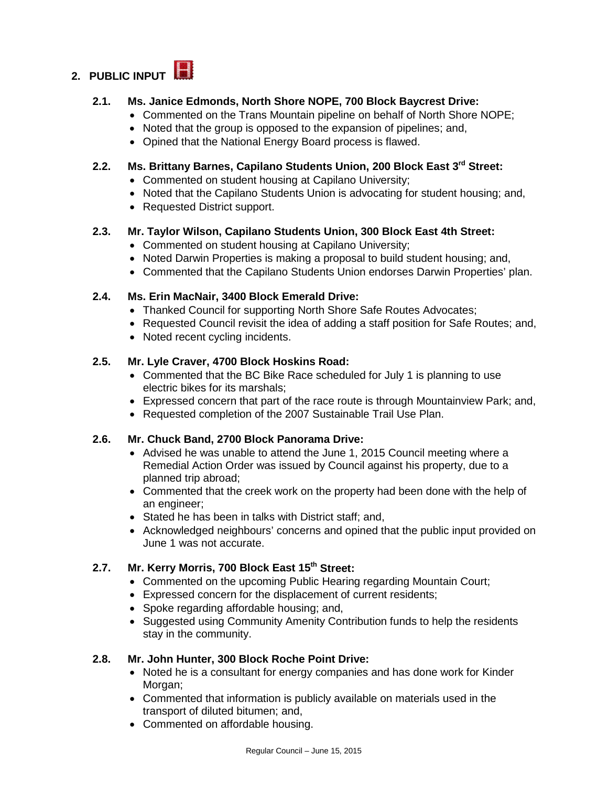# **2. PUBLIC INPUT**

# **2.1. Ms. Janice Edmonds, North Shore NOPE, 700 Block Baycrest Drive:**

- Commented on the Trans Mountain pipeline on behalf of North Shore NOPE;
- Noted that the group is opposed to the expansion of pipelines; and,
- Opined that the National Energy Board process is flawed.

# **2.2. Ms. Brittany Barnes, Capilano Students Union, 200 Block East 3rd Street:**

- Commented on student housing at Capilano University;
- Noted that the Capilano Students Union is advocating for student housing; and,
- Requested District support.

### **2.3. Mr. Taylor Wilson, Capilano Students Union, 300 Block East 4th Street:**

- Commented on student housing at Capilano University;
- Noted Darwin Properties is making a proposal to build student housing; and,
- Commented that the Capilano Students Union endorses Darwin Properties' plan.

# **2.4. Ms. Erin MacNair, 3400 Block Emerald Drive:**

- Thanked Council for supporting North Shore Safe Routes Advocates;
- Requested Council revisit the idea of adding a staff position for Safe Routes; and,
- Noted recent cycling incidents.

# **2.5. Mr. Lyle Craver, 4700 Block Hoskins Road:**

- Commented that the BC Bike Race scheduled for July 1 is planning to use electric bikes for its marshals;
- Expressed concern that part of the race route is through Mountainview Park; and,
- Requested completion of the 2007 Sustainable Trail Use Plan.

### **2.6. Mr. Chuck Band, 2700 Block Panorama Drive:**

- Advised he was unable to attend the June 1, 2015 Council meeting where a Remedial Action Order was issued by Council against his property, due to a planned trip abroad;
- Commented that the creek work on the property had been done with the help of an engineer;
- Stated he has been in talks with District staff; and,
- Acknowledged neighbours' concerns and opined that the public input provided on June 1 was not accurate.

# **2.7. Mr. Kerry Morris, 700 Block East 15th Street:**

- Commented on the upcoming Public Hearing regarding Mountain Court;
- Expressed concern for the displacement of current residents;
- Spoke regarding affordable housing: and,
- Suggested using Community Amenity Contribution funds to help the residents stay in the community.

### **2.8. Mr. John Hunter, 300 Block Roche Point Drive:**

- Noted he is a consultant for energy companies and has done work for Kinder Morgan;
- Commented that information is publicly available on materials used in the transport of diluted bitumen; and,
- Commented on affordable housing.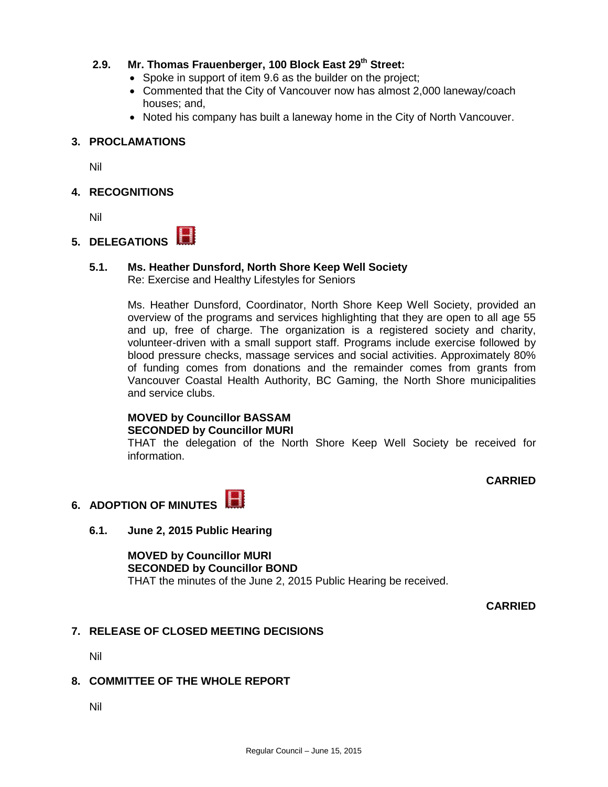### **2.9. Mr. Thomas Frauenberger, 100 Block East 29th Street:**

- Spoke in support of item 9.6 as the builder on the project;
- Commented that the City of Vancouver now has almost 2,000 laneway/coach houses; and,
- Noted his company has built a laneway home in the City of North Vancouver.

### **3. PROCLAMATIONS**

Nil

# **4. RECOGNITIONS**

Nil

# **5. DELEGATIONS**

# **5.1. Ms. Heather Dunsford, North Shore Keep Well Society**

Re: Exercise and Healthy Lifestyles for Seniors

Ms. Heather Dunsford, Coordinator, North Shore Keep Well Society, provided an overview of the programs and services highlighting that they are open to all age 55 and up, free of charge. The organization is a registered society and charity, volunteer-driven with a small support staff. Programs include exercise followed by blood pressure checks, massage services and social activities. Approximately 80% of funding comes from donations and the remainder comes from grants from Vancouver Coastal Health Authority, BC Gaming, the North Shore municipalities and service clubs.

#### **MOVED by Councillor BASSAM SECONDED by Councillor MURI**

THAT the delegation of the North Shore Keep Well Society be received for information.

**CARRIED**

# **6. ADOPTION OF MINUTES**

### **6.1. June 2, 2015 Public Hearing**

**MOVED by Councillor MURI SECONDED by Councillor BOND** THAT the minutes of the June 2, 2015 Public Hearing be received.

**CARRIED**

# **7. RELEASE OF CLOSED MEETING DECISIONS**

Nil

# **8. COMMITTEE OF THE WHOLE REPORT**

Nil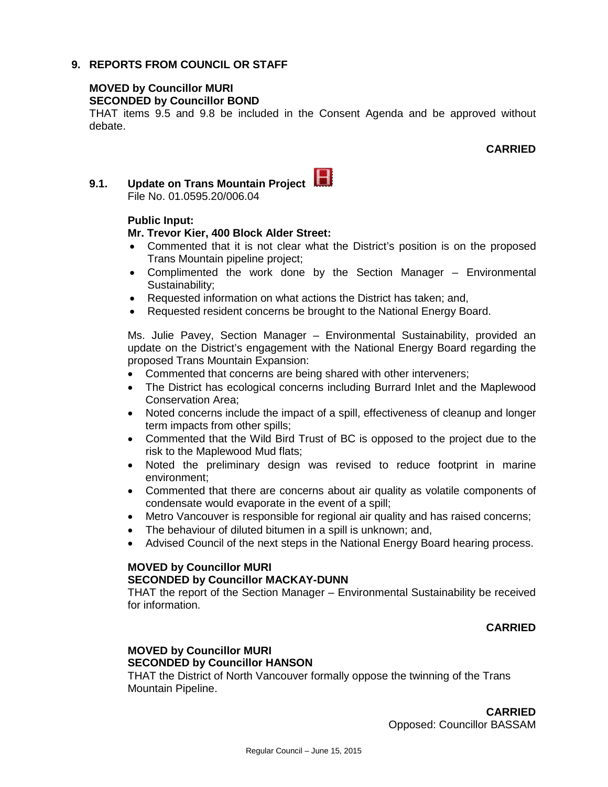#### **9. REPORTS FROM COUNCIL OR STAFF**

#### **MOVED by Councillor MURI SECONDED by Councillor BOND**

THAT items 9.5 and 9.8 be included in the Consent Agenda and be approved without debate.

#### **CARRIED**

# **9.1. Update on Trans Mountain Project**  File No. 01.0595.20/006.04

#### **Public Input:**

#### **Mr. Trevor Kier, 400 Block Alder Street:**

- Commented that it is not clear what the District's position is on the proposed Trans Mountain pipeline project;
- Complimented the work done by the Section Manager Environmental Sustainability;
- Requested information on what actions the District has taken; and,
- Requested resident concerns be brought to the National Energy Board.

Ms. Julie Pavey, Section Manager – Environmental Sustainability, provided an update on the District's engagement with the National Energy Board regarding the proposed Trans Mountain Expansion:

- Commented that concerns are being shared with other interveners;
- The District has ecological concerns including Burrard Inlet and the Maplewood Conservation Area;
- Noted concerns include the impact of a spill, effectiveness of cleanup and longer term impacts from other spills;
- Commented that the Wild Bird Trust of BC is opposed to the project due to the risk to the Maplewood Mud flats;
- Noted the preliminary design was revised to reduce footprint in marine environment;
- Commented that there are concerns about air quality as volatile components of condensate would evaporate in the event of a spill;
- Metro Vancouver is responsible for regional air quality and has raised concerns;
- The behaviour of diluted bitumen in a spill is unknown; and,
- Advised Council of the next steps in the National Energy Board hearing process.

#### **MOVED by Councillor MURI**

#### **SECONDED by Councillor MACKAY-DUNN**

THAT the report of the Section Manager – Environmental Sustainability be received for information.

#### **CARRIED**

### **MOVED by Councillor MURI SECONDED by Councillor HANSON**

THAT the District of North Vancouver formally oppose the twinning of the Trans Mountain Pipeline.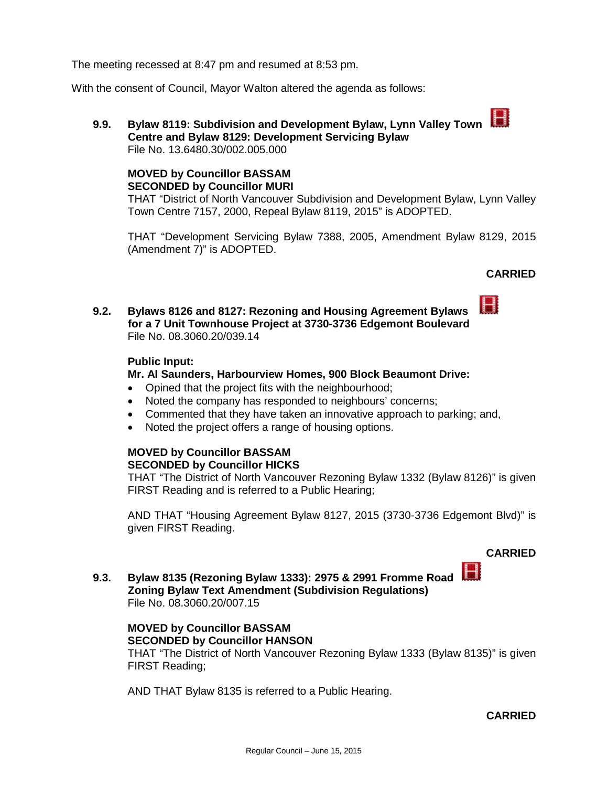The meeting recessed at 8:47 pm and resumed at 8:53 pm.

With the consent of Council, Mayor Walton altered the agenda as follows:

**9.9. Bylaw 8119: Subdivision and Development Bylaw, Lynn Valley Town Centre and Bylaw 8129: Development Servicing Bylaw** File No. 13.6480.30/002.005.000

# **MOVED by Councillor BASSAM SECONDED by Councillor MURI**

THAT "District of North Vancouver Subdivision and Development Bylaw, Lynn Valley Town Centre 7157, 2000, Repeal Bylaw 8119, 2015" is ADOPTED.

THAT "Development Servicing Bylaw 7388, 2005, Amendment Bylaw 8129, 2015 (Amendment 7)" is ADOPTED.

# **CARRIED**

 $\blacksquare$ 

**9.2. Bylaws 8126 and 8127: Rezoning and Housing Agreement Bylaws for a 7 Unit Townhouse Project at 3730-3736 Edgemont Boulevard** File No. 08.3060.20/039.14

### **Public Input:**

#### **Mr. Al Saunders, Harbourview Homes, 900 Block Beaumont Drive:**

- Opined that the project fits with the neighbourhood;
- Noted the company has responded to neighbours' concerns;
- Commented that they have taken an innovative approach to parking; and,
- Noted the project offers a range of housing options.

# **MOVED by Councillor BASSAM SECONDED by Councillor HICKS**

THAT "The District of North Vancouver Rezoning Bylaw 1332 (Bylaw 8126)" is given FIRST Reading and is referred to a Public Hearing;

AND THAT "Housing Agreement Bylaw 8127, 2015 (3730-3736 Edgemont Blvd)" is given FIRST Reading.

### **CARRIED**

**9.3. Bylaw 8135 (Rezoning Bylaw 1333): 2975 & 2991 Fromme Road Zoning Bylaw Text Amendment (Subdivision Regulations)** File No. 08.3060.20/007.15

#### **MOVED by Councillor BASSAM SECONDED by Councillor HANSON**

THAT "The District of North Vancouver Rezoning Bylaw 1333 (Bylaw 8135)" is given FIRST Reading;

AND THAT Bylaw 8135 is referred to a Public Hearing.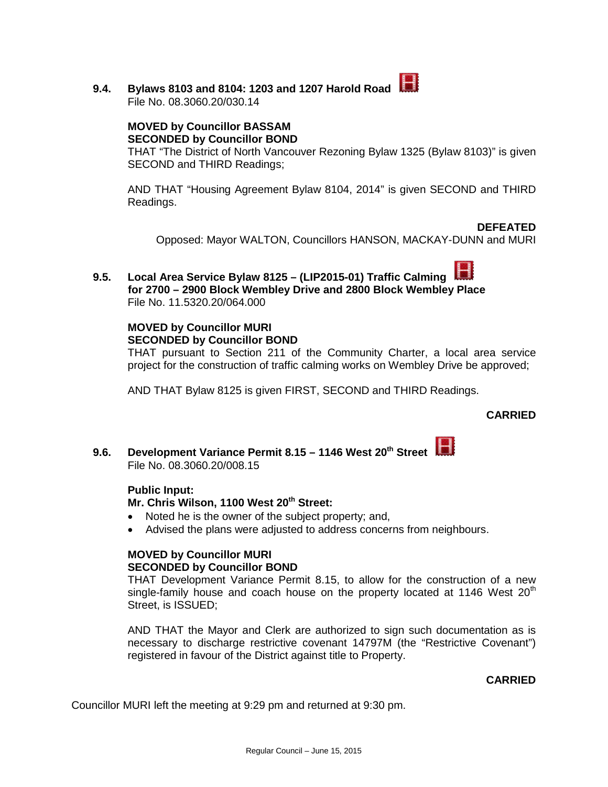**9.4. Bylaws 8103 and 8104: 1203 and 1207 Harold Road**  File No. 08.3060.20/030.14

> **MOVED by Councillor BASSAM SECONDED by Councillor BOND**

THAT "The District of North Vancouver Rezoning Bylaw 1325 (Bylaw 8103)" is given SECOND and THIRD Readings;

AND THAT "Housing Agreement Bylaw 8104, 2014" is given SECOND and THIRD Readings.

**DEFEATED**

Opposed: Mayor WALTON, Councillors HANSON, MACKAY-DUNN and MURI

**9.5. Local Area Service Bylaw 8125 – (LIP2015-01) Traffic Calming for 2700 – 2900 Block Wembley Drive and 2800 Block Wembley Place**  File No. 11.5320.20/064.000

# **MOVED by Councillor MURI SECONDED by Councillor BOND**

THAT pursuant to Section 211 of the Community Charter, a local area service project for the construction of traffic calming works on Wembley Drive be approved;

AND THAT Bylaw 8125 is given FIRST, SECOND and THIRD Readings.

### **CARRIED**

**9.6. Development Variance Permit 8.15 – 1146 West 20th Street**  File No. 08.3060.20/008.15

### **Public Input:**

### **Mr. Chris Wilson, 1100 West 20<sup>th</sup> Street:**

- Noted he is the owner of the subject property; and,
- Advised the plans were adjusted to address concerns from neighbours.

#### **MOVED by Councillor MURI SECONDED by Councillor BOND**

THAT Development Variance Permit 8.15, to allow for the construction of a new single-family house and coach house on the property located at 1146 West  $20<sup>th</sup>$ Street, is ISSUED;

AND THAT the Mayor and Clerk are authorized to sign such documentation as is necessary to discharge restrictive covenant 14797M (the "Restrictive Covenant") registered in favour of the District against title to Property.

### **CARRIED**

Councillor MURI left the meeting at 9:29 pm and returned at 9:30 pm.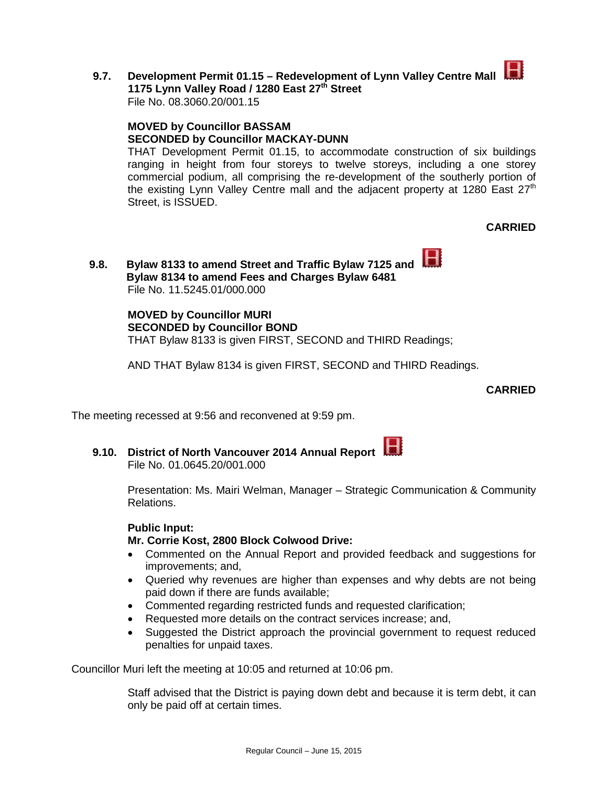

**9.7. Development Permit 01.15 – Redevelopment of Lynn Valley Centre Mall 1175 Lynn Valley Road / 1280 East 27th Street** File No. 08.3060.20/001.15

**MOVED by Councillor BASSAM SECONDED by Councillor MACKAY-DUNN**

THAT Development Permit 01.15, to accommodate construction of six buildings ranging in height from four storeys to twelve storeys, including a one storey commercial podium, all comprising the re-development of the southerly portion of the existing Lynn Valley Centre mall and the adjacent property at 1280 East  $27<sup>th</sup>$ Street, is ISSUED.

**CARRIED**

**9.8. Bylaw 8133 to amend Street and Traffic Bylaw 7125 and Bylaw 8134 to amend Fees and Charges Bylaw 6481** File No. 11.5245.01/000.000

> **MOVED by Councillor MURI SECONDED by Councillor BOND** THAT Bylaw 8133 is given FIRST, SECOND and THIRD Readings;

AND THAT Bylaw 8134 is given FIRST, SECOND and THIRD Readings.

**CARRIED**

The meeting recessed at 9:56 and reconvened at 9:59 pm.

**9.10. District of North Vancouver 2014 Annual Report** 

File No. 01.0645.20/001.000

Presentation: Ms. Mairi Welman, Manager – Strategic Communication & Community Relations.

### **Public Input:**

### **Mr. Corrie Kost, 2800 Block Colwood Drive:**

- Commented on the Annual Report and provided feedback and suggestions for improvements; and,
- Queried why revenues are higher than expenses and why debts are not being paid down if there are funds available;
- Commented regarding restricted funds and requested clarification;
- Requested more details on the contract services increase; and,
- Suggested the District approach the provincial government to request reduced penalties for unpaid taxes.

Councillor Muri left the meeting at 10:05 and returned at 10:06 pm.

Staff advised that the District is paying down debt and because it is term debt, it can only be paid off at certain times.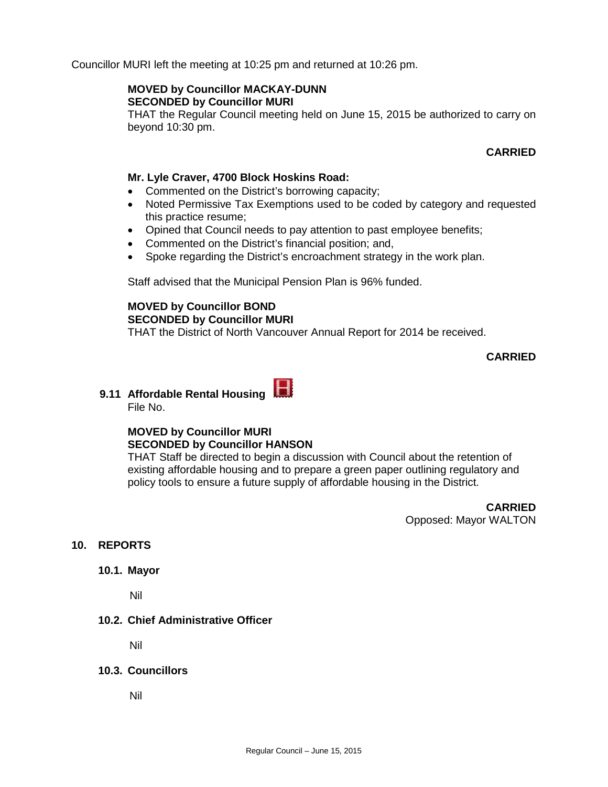Councillor MURI left the meeting at 10:25 pm and returned at 10:26 pm.

#### **MOVED by Councillor MACKAY-DUNN SECONDED by Councillor MURI**

THAT the Regular Council meeting held on June 15, 2015 be authorized to carry on beyond 10:30 pm.

### **CARRIED**

#### **Mr. Lyle Craver, 4700 Block Hoskins Road:**

- Commented on the District's borrowing capacity;
- Noted Permissive Tax Exemptions used to be coded by category and requested this practice resume;
- Opined that Council needs to pay attention to past employee benefits;
- Commented on the District's financial position; and,
- Spoke regarding the District's encroachment strategy in the work plan.

Staff advised that the Municipal Pension Plan is 96% funded.

### **MOVED by Councillor BOND SECONDED by Councillor MURI**

THAT the District of North Vancouver Annual Report for 2014 be received.

### **CARRIED**

**9.11 Affordable Rental Housing**  File No.

# **MOVED by Councillor MURI SECONDED by Councillor HANSON**

THAT Staff be directed to begin a discussion with Council about the retention of existing affordable housing and to prepare a green paper outlining regulatory and policy tools to ensure a future supply of affordable housing in the District.

> **CARRIED** Opposed: Mayor WALTON

# **10. REPORTS**

#### **10.1. Mayor**

Nil

### **10.2. Chief Administrative Officer**

Nil

### **10.3. Councillors**

Nil